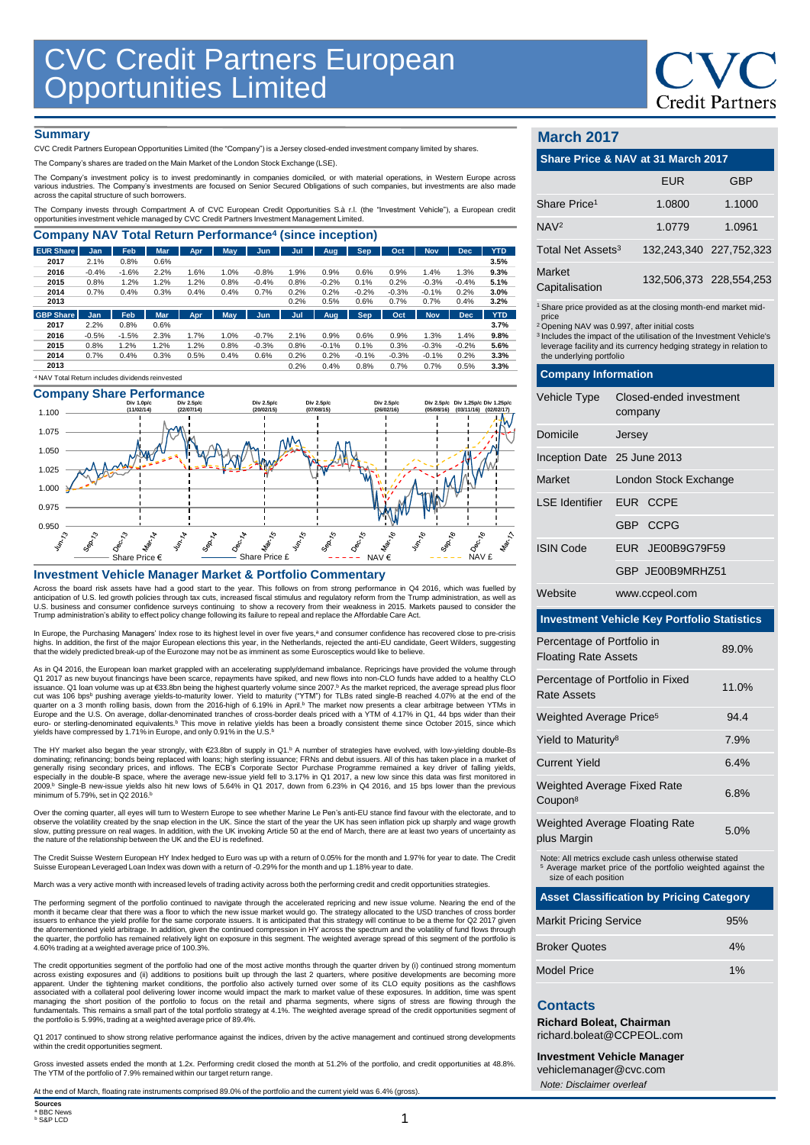

### **Summary**

CVC Credit Partners European Opportunities Limited (the "Company") is a Jersey closed-ended investment company limited by shares.

The Company's shares are traded on the Main Market of the London Stock Exchange (LSE).

The Company's investment policy is to invest predominantly in companies domiciled, or with material operations, in Westem Europe across<br>various industries. The Company's investments are focused on Senior Secured Obligation

The Company invests through Compartment A of CVC European Credit Opportunities S.à r.l. (the "Investment Vehicle"), a European credit<br>opportunities investment vehicle managed by CVC Credit Partners Investment Management Li

| <b>EUR Share</b> | Jan        | Feb        | <b>Mar</b> | Apr. | May  | Jun     | Jul  | Aug     | <b>Sep</b> | Oct     | <b>Nov</b> | <b>Dec</b> | <b>YTD</b> |
|------------------|------------|------------|------------|------|------|---------|------|---------|------------|---------|------------|------------|------------|
| 2017             | 2.1%       | 0.8%       | 0.6%       |      |      |         |      |         |            |         |            |            | 3.5%       |
| 2016             | $-0.4%$    | $-1.6%$    | 2.2%       | 1.6% | 1.0% | $-0.8%$ | 1.9% | 0.9%    | 0.6%       | 0.9%    | 1.4%       | 1.3%       | 9.3%       |
| 2015             | 0.8%       | 1.2%       | 1.2%       | 1.2% | 0.8% | $-0.4%$ | 0.8% | $-0.2%$ | 0.1%       | 0.2%    | $-0.3%$    | $-0.4%$    | 5.1%       |
| 2014             | 0.7%       | 0.4%       | 0.3%       | 0.4% | 0.4% | 0.7%    | 0.2% | 0.2%    | $-0.2%$    | $-0.3%$ | $-0.1%$    | 0.2%       | 3.0%       |
| 2013             |            |            |            |      |      |         | 0.2% | 0.5%    | 0.6%       | 0.7%    | 0.7%       | 0.4%       | 3.2%       |
| <b>GBP Share</b> | <b>Jan</b> | <b>Feb</b> | <b>Mar</b> | Apr. | May  | Jun     | Jul  | Aug     | <b>Sep</b> | Oct     | <b>Nov</b> | <b>Dec</b> | <b>YTD</b> |
| 2017             | 2.2%       | 0.8%       | 0.6%       |      |      |         |      |         |            |         |            |            | 3.7%       |
| 2016             | $-0.5%$    | $-1.5%$    | 2.3%       | 1.7% | 1.0% | $-0.7%$ | 2.1% | 0.9%    | 0.6%       | 0.9%    | 1.3%       | 1.4%       | 9.8%       |
| 2015             | 0.8%       | 1.2%       | 1.2%       | 1.2% | 0.8% | $-0.3%$ | 0.8% | $-0.1%$ | 0.1%       | 0.3%    | $-0.3%$    | $-0.2%$    | 5.6%       |
|                  | 0.7%       | 0.4%       | 0.3%       | 0.5% | 0.4% | 0.6%    | 0.2% | 0.2%    | $-0.1%$    | $-0.3%$ | $-0.1%$    | 0.2%       | 3.3%       |
| 2014             |            |            |            |      |      |         | 0.2% | 0.4%    | 0.8%       | 0.7%    | 0.7%       | 0.5%       | 3.3%       |



### **Investment Vehicle Manager Market & Portfolio Commentary**

Across the board risk assets have had a good start to the year. This follows on from strong performance in Q4 2016, which was fuelled by anticipation of U.S. led growth policies through tax cuts, increased fiscal stimulus and regulatory reform from the Trump administration, as well as<br>U.S. business and consumer confidence surveys continuing to show a recove

In Europe, the Purchasing Managers' Index rose to its highest level in over five years,<sup>a</sup> and consumer confidence has recovered close to pre-crisis highs. In addition, the first of the major European elections this year, in the Netherlands, rejected the anti-EU candidate, Geert Wilders, suggesting that the widely predicted break-up of the Eurozone may not be as imminent as some Eurosceptics would like to believe.

As in Q4 2016, the European loan market grappled with an accelerating supply/demand imbalance. Repricings have provided the volume through Q1 2017 as new buyout financings have been scarce, repayments have spiked, and new flows into non-CLO funds have added to a healthy CLO<br>issuance. Q1 loan volume was up at €33.8bn being the highest quarterly volume since 2 cut was 106 bps<sup>ь</sup> pushing average yields-to-maturity lower. Yield to maturity ("YTM") for TLBs rated single-B reached 4.07% at the end of the<br>quarter on a 3 month rolling basis, down from the 2016-high of 6.19% in April.<sup></sup> euro- or sterling-denominated equivalents.<sup>b</sup> This move in relative yields has been a broadly consistent theme since October 2015, since which yields have compressed by 1.71% in Europe, and only 0.91% in the U.S.<sup>b</sup>

The HY market also began the year strongly, with €23.8bn of supply in Q1.<sup>b</sup> A number of strategies have evolved, with low-yielding double-Bs dominating; refinancing; bonds being replaced with loans; high sterling issuance; FRNs and debut issuers. All of this has taken place in a market of<br>generally rising secondary prices, and inflows. The ECB's Corporate Secto especially in the double-B space, where the average new-issue yield fell to 3.17% in Q1 2017, a new low since this data was first monitored in<br>2009.<sup>b</sup> Single-B new-issue yields also hit new lows of 5.64% in Q1 2017, down

Over the coming quarter, all eyes will turn to Western Europe to see whether Marine Le Pen's anti-EU stance find favour with the electorate, and to observe the volatility created by the snap election in the UK. Since the start of the year the UK has seen inflation pick up sharply and wage growth<br>slow, putting pressure on real wages. In addition, with the UK invoking A

The Credit Suisse Western European HY Index hedged to Euro was up with a return of 0.05% for the month and 1.97% for year to date. The Credit<br>Suisse European Leveraged Loan Index was down with a return of -0.29% for the mo

March was a very active month with increased levels of trading activity across both the performing credit and credit opportunities strategies.

The performing segment of the portfolio continued to navigate through the accelerated repricing and new issue volume. Nearing the end of the month it became clear that there was a floor to which the new issue market would go. The strategy allocated to the USD tranches of cross border issuers to enhance the yield profile for the same corporate issuers. It is anticipated that this strategy will continue to be a theme for Q2 2017 given<br>the aforementioned yield arbitrage. In addition, given the continued c 4.60% trading at a weighted average price of 100.3%.

The credit opportunities segment of the portfolio had one of the most active months through the quarter driven by (i) continued strong momentum across existing exposures and (ii) additions to positions built up through the last 2 quarters, where positive developments are becoming more<br>apparent. Under the tightening market conditions, the portfolio also actively tu managing the short position of the portfolio to focus on the retail and pharma segments, where signs of stress are flowing through the fuls. This remains a small part of the total portfolio strategy at 4.1%. The weighted average spread of the credit opportunities segre the portfolio is 5.99%, trading at a weighted average price of 89.4%.

Q1 2017 continued to show strong relative performance against the indices, driven by the active management and continued strong developments within the credit opportunities segment.

Gross invested assets ended the month at 1.2x. Performing credit closed the month at 51.2% of the portfolio, and credit opportunities at 48.8%.<br>The YTM of the portfolio of 7.9% remained within our target return range.

At the end of March, floating rate instruments comprised 89.0% of the portfolio and the current yield was 6.4% (gross).

1

## **March 2017**

| Share Price & NAV at 31 March 2017 |  |
|------------------------------------|--|
|------------------------------------|--|

|                                                                                                                                               | <b>EUR</b> | <b>GBP</b>              |  |  |
|-----------------------------------------------------------------------------------------------------------------------------------------------|------------|-------------------------|--|--|
| Share Price <sup>1</sup>                                                                                                                      | 1.0800     | 1.1000                  |  |  |
| NAV <sup>2</sup>                                                                                                                              | 1.0779     | 1.0961                  |  |  |
| Total Net Assets <sup>3</sup>                                                                                                                 |            | 132,243,340 227,752,323 |  |  |
| Market<br>Capitalisation                                                                                                                      |            | 132,506,373 228,554,253 |  |  |
| <sup>1</sup> Share price provided as at the closing month-end market mid-<br>price<br><sup>2</sup> Opening NAV was 0.997, after initial costs |            |                         |  |  |

<sup>3</sup>Includes the impact of the utilisation of the Investment Vehicle's

leverage facility and its currency hedging strategy in relation to the underlying portfolio

## **Company Information**

| <b>Vehicle Type</b>         | Closed-ended investment<br>company |  |  |
|-----------------------------|------------------------------------|--|--|
| Domicile                    | Jersey                             |  |  |
| Inception Date 25 June 2013 |                                    |  |  |
| Market                      | London Stock Exchange              |  |  |
| LSE Identifier EUR CCPE     |                                    |  |  |
|                             | GBP CCPG                           |  |  |
| <b>ISIN Code</b>            | EUR JE00B9G79F59                   |  |  |
|                             | GBP JE00B9MRHZ51                   |  |  |
| Website                     | www.ccpeol.com                     |  |  |

### **Investment Vehicle Key Portfolio Statistics**

| Percentage of Portfolio in<br><b>Floating Rate Assets</b> | 89.0%   |
|-----------------------------------------------------------|---------|
| Percentage of Portfolio in Fixed<br>Rate Assets           | 11.0%   |
| Weighted Average Price <sup>5</sup>                       | 94.4    |
| Yield to Maturity <sup>8</sup>                            | 7.9%    |
| <b>Current Yield</b>                                      | 6.4%    |
| Weighted Average Fixed Rate<br>Coupon <sup>8</sup>        | 6.8%    |
| <b>Weighted Average Floating Rate</b><br>plus Margin      | $5.0\%$ |

Note: All metrics exclude cash unless otherwise stated Average market price of the portfolio weighted against the size of each position

| <b>Asset Classification by Pricing Category</b> |     |
|-------------------------------------------------|-----|
| <b>Markit Pricing Service</b>                   | 95% |
| <b>Broker Quotes</b>                            | 4%  |
| Model Price                                     | 1%  |

### **Contacts**

**Richard Boleat, Chairman**  richard.boleat@CCPEOL.com

**Investment Vehicle Manager**

vehiclemanager@cvc.com *Note: Disclaimer overleaf*